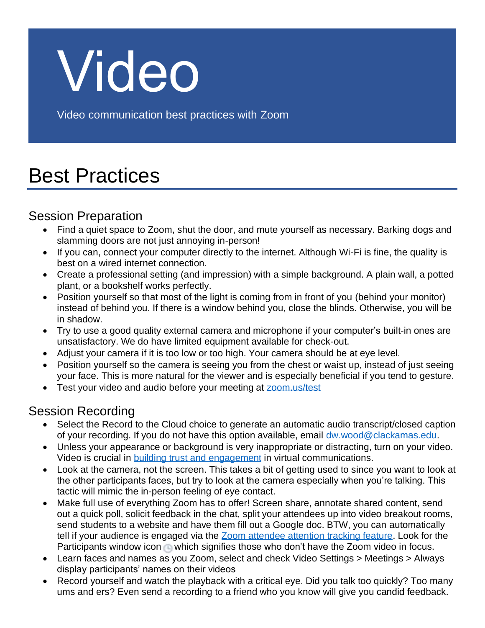

Video communication best practices with Zoom

# Best Practices

### Session Preparation

- Find a quiet space to Zoom, shut the door, and mute yourself as necessary. Barking dogs and slamming doors are not just annoying in-person!
- If you can, connect your computer directly to the internet. Although Wi-Fi is fine, the quality is best on a wired internet connection.
- Create a professional setting (and impression) with a simple background. A plain wall, a potted plant, or a bookshelf works perfectly.
- Position yourself so that most of the light is coming from in front of you (behind your monitor) instead of behind you. If there is a window behind you, close the blinds. Otherwise, you will be in shadow.
- Try to use a good quality external camera and microphone if your computer's built-in ones are unsatisfactory. We do have limited equipment available for check-out.
- Adjust your camera if it is too low or too high. Your camera should be at eye level.
- Position yourself so the camera is seeing you from the chest or waist up, instead of just seeing your face. This is more natural for the viewer and is especially beneficial if you tend to gesture.
- Test your video and audio before your meeting at [zoom.us/test](https://zoom.us/test)

### Session Recording

- Select the Record to the Cloud choice to generate an automatic audio transcript/closed caption of your recording. If you do not have this option available, email [dw.wood@clackamas.edu.](mailto:dw.wood@clackamas.edu)
- Unless your appearance or background is very inappropriate or distracting, turn on your video. Video is crucial in [building trust and engagement](https://blog.zoom.us/wordpress/2018/05/30/mary-meekers-2018-internet-trends-videos-impact-on-productivity/) in virtual communications.
- Look at the camera, not the screen. This takes a bit of getting used to since you want to look at the other participants faces, but try to look at the camera especially when you're talking. This tactic will mimic the in-person feeling of eye contact.
- Make full use of everything Zoom has to offer! Screen share, annotate shared content, send out a quick poll, solicit feedback in the chat, split your attendees up into video breakout rooms, send students to a website and have them fill out a Google doc. BTW, you can automatically tell if your audience is engaged via the [Zoom attendee attention tracking feature.](https://support.zoom.us/hc/en-us/articles/115000538083-Attendee-Attention-Tracking) Look for the Participants window icon which signifies those who don't have the Zoom video in focus.
- Learn faces and names as you Zoom, select and check Video Settings > Meetings > Always display participants' names on their videos
- Record yourself and watch the playback with a critical eye. Did you talk too quickly? Too many ums and ers? Even send a recording to a friend who you know will give you candid feedback.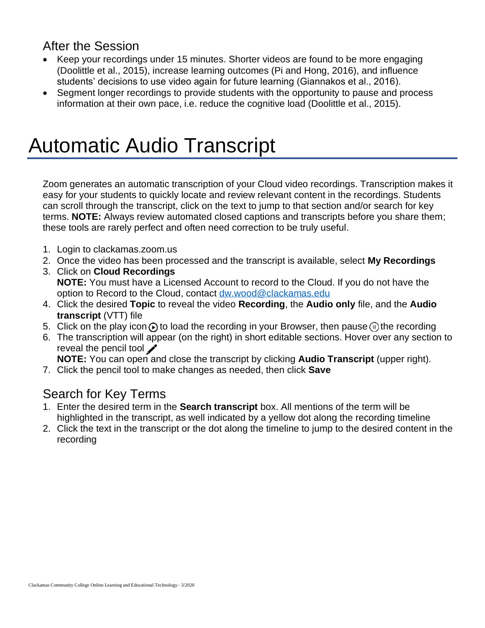#### After the Session

- Keep your recordings under 15 minutes. Shorter videos are found to be more engaging (Doolittle et al., 2015), increase learning outcomes (Pi and Hong, 2016), and influence students' decisions to use video again for future learning (Giannakos et al., 2016).
- Segment longer recordings to provide students with the opportunity to pause and process information at their own pace, i.e. reduce the cognitive load (Doolittle et al., 2015).

### Automatic Audio Transcript

Zoom generates an automatic transcription of your Cloud video recordings. Transcription makes it easy for your students to quickly locate and review relevant content in the recordings. Students can scroll through the transcript, click on the text to jump to that section and/or search for key terms. **NOTE:** Always review automated closed captions and transcripts before you share them; these tools are rarely perfect and often need correction to be truly useful.

- 1. Login to clackamas.zoom.us
- 2. Once the video has been processed and the transcript is available, select **My Recordings**
- 3. Click on **Cloud Recordings NOTE:** You must have a Licensed Account to record to the Cloud. If you do not have the option to Record to the Cloud, contact [dw.wood@clackamas.edu](mailto:dw.wood@clackamas.edu)
- 4. Click the desired **Topic** to reveal the video **Recording**, the **Audio only** file, and the **Audio transcript** (VTT) file
- 5. Click on the play icon  $\odot$  to load the recording in your Browser, then pause  $\odot$  the recording
- 6. The transcription will appear (on the right) in short editable sections. Hover over any section to reveal the pencil tool  $\blacktriangleright$

**NOTE:** You can open and close the transcript by clicking **Audio Transcript** (upper right).

7. Click the pencil tool to make changes as needed, then click **Save**

#### Search for Key Terms

- 1. Enter the desired term in the **Search transcript** box. All mentions of the term will be highlighted in the transcript, as well indicated by a yellow dot along the recording timeline
- 2. Click the text in the transcript or the dot along the timeline to jump to the desired content in the recording